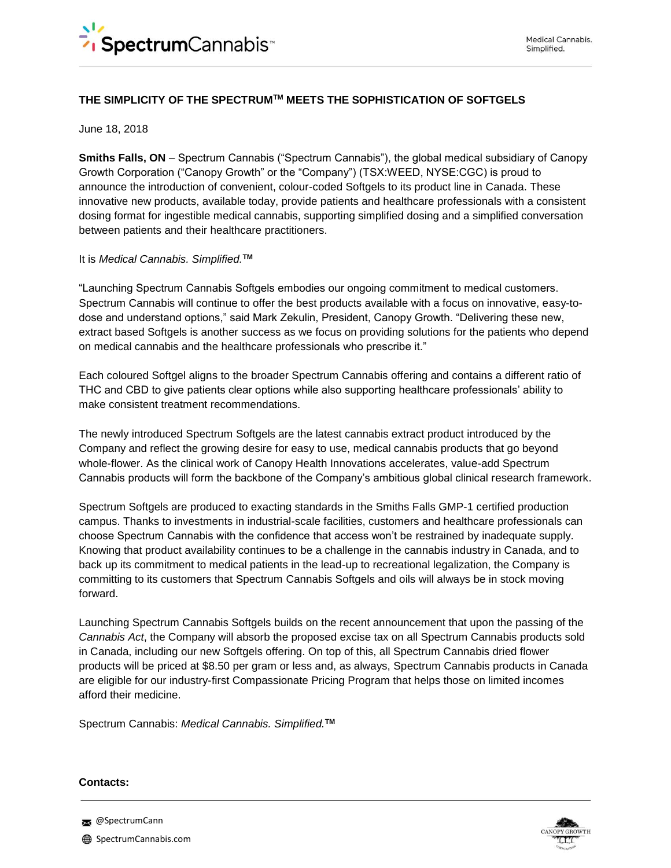# **THE SIMPLICITY OF THE SPECTRUMTM MEETS THE SOPHISTICATION OF SOFTGELS**

### June 18, 2018

**Smiths Falls, ON** – Spectrum Cannabis ("Spectrum Cannabis"), the global medical subsidiary of Canopy Growth Corporation ("Canopy Growth" or the "Company") (TSX:WEED, NYSE:CGC) is proud to announce the introduction of convenient, colour-coded Softgels to its product line in Canada. These innovative new products, available today, provide patients and healthcare professionals with a consistent dosing format for ingestible medical cannabis, supporting simplified dosing and a simplified conversation between patients and their healthcare practitioners.

### It is *Medical Cannabis. Simplified.***TM**

"Launching Spectrum Cannabis Softgels embodies our ongoing commitment to medical customers. Spectrum Cannabis will continue to offer the best products available with a focus on innovative, easy-todose and understand options," said Mark Zekulin, President, Canopy Growth. "Delivering these new, extract based Softgels is another success as we focus on providing solutions for the patients who depend on medical cannabis and the healthcare professionals who prescribe it."

Each coloured Softgel aligns to the broader Spectrum Cannabis offering and contains a different ratio of THC and CBD to give patients clear options while also supporting healthcare professionals' ability to make consistent treatment recommendations.

The newly introduced Spectrum Softgels are the latest cannabis extract product introduced by the Company and reflect the growing desire for easy to use, medical cannabis products that go beyond whole-flower. As the clinical work of Canopy Health Innovations accelerates, value-add Spectrum Cannabis products will form the backbone of the Company's ambitious global clinical research framework.

Spectrum Softgels are produced to exacting standards in the Smiths Falls GMP-1 certified production campus. Thanks to investments in industrial-scale facilities, customers and healthcare professionals can choose Spectrum Cannabis with the confidence that access won't be restrained by inadequate supply. Knowing that product availability continues to be a challenge in the cannabis industry in Canada, and to back up its commitment to medical patients in the lead-up to recreational legalization, the Company is committing to its customers that Spectrum Cannabis Softgels and oils will always be in stock moving forward.

Launching Spectrum Cannabis Softgels builds on the recent announcement that upon the passing of the *Cannabis Act*, the Company will absorb the proposed excise tax on all Spectrum Cannabis products sold in Canada, including our new Softgels offering. On top of this, all Spectrum Cannabis dried flower products will be priced at \$8.50 per gram or less and, as always, Spectrum Cannabis products in Canada are eligible for our industry-first Compassionate Pricing Program that helps those on limited incomes afford their medicine.

Spectrum Cannabis: *Medical Cannabis. Simplified.***TM**

#### **Contacts:**



**@SpectrumCann**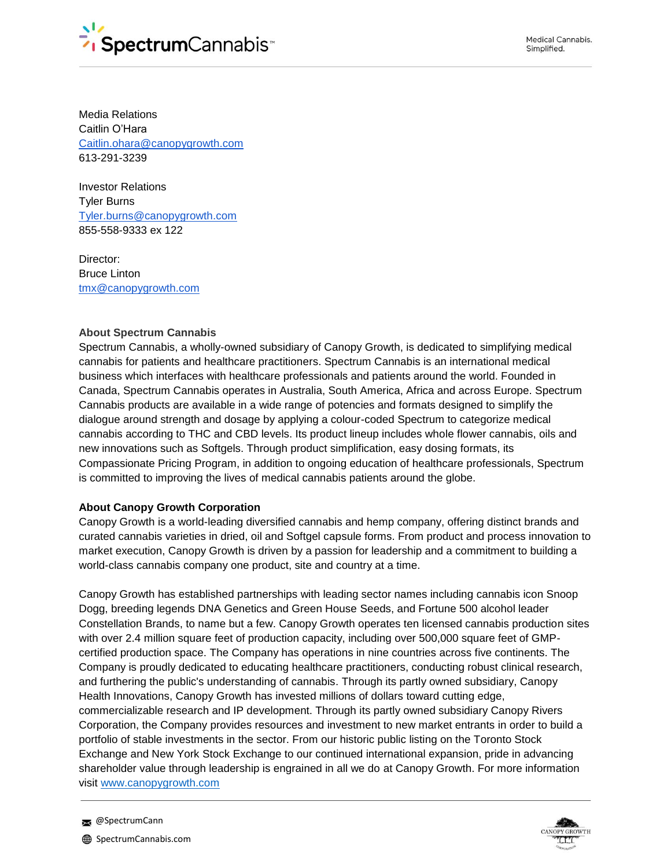

Media Relations Caitlin O'Hara [Caitlin.ohara@canopygrowth.com](mailto:Caitlin.ohara@canopygrowth.com) 613-291-3239

Investor Relations Tyler Burns [Tyler.burns@canopygrowth.com](mailto:Tyler.burns@canopygrowth.com) 855-558-9333 ex 122

Director: Bruce Linton [tmx@canopygrowth.com](mailto:tmx@canopygrowth.com)

## **About Spectrum Cannabis**

Spectrum Cannabis, a wholly-owned subsidiary of Canopy Growth, is dedicated to simplifying medical cannabis for patients and healthcare practitioners. Spectrum Cannabis is an international medical business which interfaces with healthcare professionals and patients around the world. Founded in Canada, Spectrum Cannabis operates in Australia, South America, Africa and across Europe. Spectrum Cannabis products are available in a wide range of potencies and formats designed to simplify the dialogue around strength and dosage by applying a colour-coded Spectrum to categorize medical cannabis according to THC and CBD levels. Its product lineup includes whole flower cannabis, oils and new innovations such as Softgels. Through product simplification, easy dosing formats, its Compassionate Pricing Program, in addition to ongoing education of healthcare professionals, Spectrum is committed to improving the lives of medical cannabis patients around the globe.

## **About Canopy Growth Corporation**

Canopy Growth is a world-leading diversified cannabis and hemp company, offering distinct brands and curated cannabis varieties in dried, oil and Softgel capsule forms. From product and process innovation to market execution, Canopy Growth is driven by a passion for leadership and a commitment to building a world-class cannabis company one product, site and country at a time.

Canopy Growth has established partnerships with leading sector names including cannabis icon Snoop Dogg, breeding legends DNA Genetics and Green House Seeds, and Fortune 500 alcohol leader Constellation Brands, to name but a few. Canopy Growth operates ten licensed cannabis production sites with over 2.4 million square feet of production capacity, including over 500,000 square feet of GMPcertified production space. The Company has operations in nine countries across five continents. The Company is proudly dedicated to educating healthcare practitioners, conducting robust clinical research, and furthering the public's understanding of cannabis. Through its partly owned subsidiary, Canopy Health Innovations, Canopy Growth has invested millions of dollars toward cutting edge, commercializable research and IP development. Through its partly owned subsidiary Canopy Rivers Corporation, the Company provides resources and investment to new market entrants in order to build a portfolio of stable investments in the sector. From our historic public listing on the Toronto Stock Exchange and New York Stock Exchange to our continued international expansion, pride in advancing shareholder value through leadership is engrained in all we do at Canopy Growth. For more information visit [www.canopygrowth.com](http://www.canopygrowth.com/)